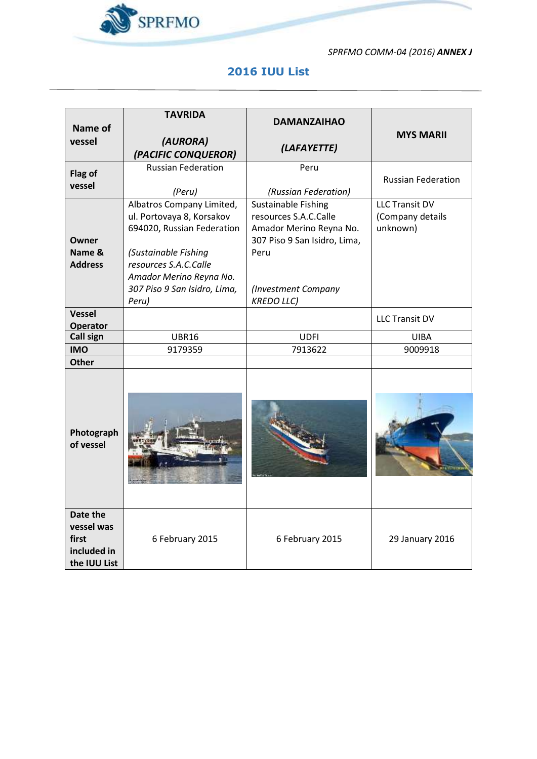

*SPRFMO COMM-04 (2016) ANNEX J*

 $\overline{\phantom{0}}$ 

## **2016 IUU List**

|                                                                | <b>TAVRIDA</b>                  | <b>DAMANZAIHAO</b>           |                           |
|----------------------------------------------------------------|---------------------------------|------------------------------|---------------------------|
| Name of                                                        |                                 |                              | <b>MYS MARII</b>          |
| vessel                                                         | (AURORA)<br>(PACIFIC CONQUEROR) | (LAFAYETTE)                  |                           |
|                                                                | <b>Russian Federation</b>       | Peru                         |                           |
| Flag of                                                        |                                 |                              | <b>Russian Federation</b> |
| vessel                                                         | (Peru)                          | (Russian Federation)         |                           |
|                                                                | Albatros Company Limited,       | Sustainable Fishing          | <b>LLC Transit DV</b>     |
|                                                                | ul. Portovaya 8, Korsakov       | resources S.A.C.Calle        | (Company details          |
|                                                                | 694020, Russian Federation      | Amador Merino Reyna No.      | unknown)                  |
| <b>Owner</b>                                                   |                                 | 307 Piso 9 San Isidro, Lima, |                           |
| Name &                                                         | (Sustainable Fishing            | Peru                         |                           |
| <b>Address</b>                                                 | resources S.A.C.Calle           |                              |                           |
|                                                                | Amador Merino Reyna No.         |                              |                           |
|                                                                | 307 Piso 9 San Isidro, Lima,    | (Investment Company          |                           |
|                                                                | Peru)                           | <b>KREDO LLC)</b>            |                           |
| <b>Vessel</b><br><b>Operator</b>                               |                                 |                              | <b>LLC Transit DV</b>     |
| <b>Call sign</b>                                               | <b>UBR16</b>                    | <b>UDFI</b>                  | <b>UIBA</b>               |
| <b>IMO</b>                                                     | 9179359                         | 7913622                      | 9009918                   |
| <b>Other</b>                                                   |                                 |                              |                           |
| Photograph<br>of vessel                                        |                                 |                              |                           |
| Date the<br>vessel was<br>first<br>included in<br>the IUU List | 6 February 2015                 | 6 February 2015              | 29 January 2016           |